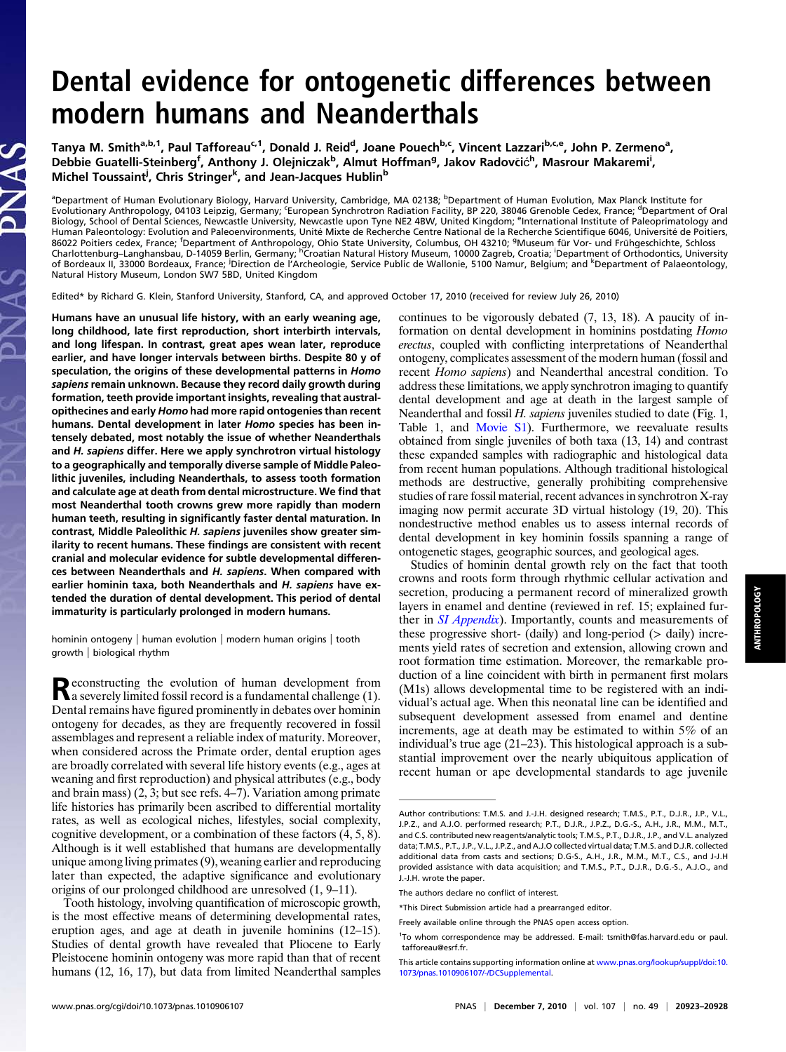## Dental evidence for ontogenetic differences between modern humans and Neanderthals

Tanya M. Smith<sup>a,b,1</sup>, Paul Tafforeau<sup>c,1</sup>, Donald J. Reid<sup>d</sup>, Joane Pouech<sup>b,c</sup>, Vincent Lazzari<sup>b,c,e</sup>, John P. Zermeno<sup>a</sup>, Debbie Guatelli-Steinberg<sup>f</sup>, Anthony J. Olejniczak<sup>b</sup>, Almut Hoffman<sup>g</sup>, Jakov Radovčić<sup>h</sup>, Masrour Makaremi<sup>i</sup>, Michel Toussaint<sup>i</sup>, Chris Stringer<sup>k</sup>, and Jean-Jacques Hublin<sup>b</sup>

<sup>a</sup>Department of Human Evolutionary Biology, Harvard University, Cambridge, MA 02138; <sup>b</sup>Department of Human Evolution, Max Planck Institute for Evolutionary Anthropology, 04103 Leipzig, Germany; 'European Synchrotron Radiation Facility, BP 220, 38046 Grenoble Cedex, France; <sup>d</sup>Department of Oral<br>Biology, School of Dental Sciences, Newcastle University, Newcastle u Human Paleontology: Evolution and Paleoenvironments, Unité Mixte de Recherche Centre National de la Recherche Scientifique 6046, Université de Poitiers, 86022 Poitiers cedex, France; <sup>f</sup>Department of Anthropology, Ohio State University, Columbus, OH 43210; <sup>g</sup>Museum für Vor- und Frühgeschichte, Schloss Charlottenburg–Langhansbau, D-14059 Berlin, Germany; <sup>h</sup>Croatian Natural History Museum, 10000 Zagreb, Croatia; <sup>i</sup>Department of Orthodontics, University of Bordeaux II, 33000 Bordeaux, France; <sup>j</sup>Direction de l'Archeologie, Service Public de Wallonie, 5100 Namur, Belgium; and <sup>k</sup>Department of Palaeontology, Natural History Museum, London SW7 5BD, United Kingdom

Edited\* by Richard G. Klein, Stanford University, Stanford, CA, and approved October 17, 2010 (received for review July 26, 2010)

Humans have an unusual life history, with an early weaning age, long childhood, late first reproduction, short interbirth intervals, and long lifespan. In contrast, great apes wean later, reproduce earlier, and have longer intervals between births. Despite 80 y of speculation, the origins of these developmental patterns in Homo sapiens remain unknown. Because they record daily growth during formation, teeth provide important insights, revealing that australopithecines and early Homo had more rapid ontogenies than recent humans. Dental development in later Homo species has been intensely debated, most notably the issue of whether Neanderthals and H. sapiens differ. Here we apply synchrotron virtual histology to a geographically and temporally diverse sample of Middle Paleolithic juveniles, including Neanderthals, to assess tooth formation and calculate age at death from dental microstructure. We find that most Neanderthal tooth crowns grew more rapidly than modern human teeth, resulting in significantly faster dental maturation. In contrast, Middle Paleolithic H. sapiens juveniles show greater similarity to recent humans. These findings are consistent with recent cranial and molecular evidence for subtle developmental differences between Neanderthals and H. sapiens. When compared with earlier hominin taxa, both Neanderthals and H. sapiens have extended the duration of dental development. This period of dental immaturity is particularly prolonged in modern humans.

hominin ontogeny | human evolution | modern human origins | tooth growth | biological rhythm

Reconstructing the evolution of human development from a severely limited fossil record is a fundamental challenge (1). Dental remains have figured prominently in debates over hominin ontogeny for decades, as they are frequently recovered in fossil assemblages and represent a reliable index of maturity. Moreover, when considered across the Primate order, dental eruption ages are broadly correlated with several life history events (e.g., ages at weaning and first reproduction) and physical attributes (e.g., body and brain mass) (2, 3; but see refs. 4–7). Variation among primate life histories has primarily been ascribed to differential mortality rates, as well as ecological niches, lifestyles, social complexity, cognitive development, or a combination of these factors (4, 5, 8). Although is it well established that humans are developmentally unique among living primates (9), weaning earlier and reproducing later than expected, the adaptive significance and evolutionary origins of our prolonged childhood are unresolved (1, 9–11).

Tooth histology, involving quantification of microscopic growth, is the most effective means of determining developmental rates, eruption ages, and age at death in juvenile hominins (12–15). Studies of dental growth have revealed that Pliocene to Early Pleistocene hominin ontogeny was more rapid than that of recent humans (12, 16, 17), but data from limited Neanderthal samples continues to be vigorously debated (7, 13, 18). A paucity of information on dental development in hominins postdating Homo erectus, coupled with conflicting interpretations of Neanderthal ontogeny, complicates assessment of the modern human (fossil and recent Homo sapiens) and Neanderthal ancestral condition. To address these limitations, we apply synchrotron imaging to quantify dental development and age at death in the largest sample of Neanderthal and fossil H. sapiens juveniles studied to date (Fig. 1, Table 1, and [Movie S1](http://www.pnas.org/lookup/suppl/doi:10.1073/pnas.1010906107/-/DCSupplemental/sm01.mov)). Furthermore, we reevaluate results obtained from single juveniles of both taxa (13, 14) and contrast these expanded samples with radiographic and histological data from recent human populations. Although traditional histological methods are destructive, generally prohibiting comprehensive studies of rare fossil material, recent advances in synchrotron X-ray imaging now permit accurate 3D virtual histology (19, 20). This nondestructive method enables us to assess internal records of dental development in key hominin fossils spanning a range of ontogenetic stages, geographic sources, and geological ages.

Studies of hominin dental growth rely on the fact that tooth crowns and roots form through rhythmic cellular activation and secretion, producing a permanent record of mineralized growth layers in enamel and dentine (reviewed in ref. 15; explained further in *[SI Appendix](http://www.pnas.org/lookup/suppl/doi:10.1073/pnas.1010906107/-/DCSupplemental/sapp.pdf)*). Importantly, counts and measurements of these progressive short- (daily) and long-period (> daily) increments yield rates of secretion and extension, allowing crown and root formation time estimation. Moreover, the remarkable production of a line coincident with birth in permanent first molars (M1s) allows developmental time to be registered with an individual's actual age. When this neonatal line can be identified and subsequent development assessed from enamel and dentine increments, age at death may be estimated to within 5% of an individual's true age (21–23). This histological approach is a substantial improvement over the nearly ubiquitous application of recent human or ape developmental standards to age juvenile

Author contributions: T.M.S. and J.-J.H. designed research; T.M.S., P.T., D.J.R., J.P., V.L., J.P.Z., and A.J.O. performed research; P.T., D.J.R., J.P.Z., D.G.-S., A.H., J.R., M.M., M.T., and C.S. contributed new reagents/analytic tools; T.M.S., P.T., D.J.R., J.P., and V.L. analyzed data; T.M.S., P.T., J.P., V.L., J.P.Z., and A.J.O collected virtual data; T.M.S. and D.J.R. collected additional data from casts and sections; D.G-S., A.H., J.R., M.M., M.T., C.S., and J-J.H provided assistance with data acquisition; and T.M.S., P.T., D.J.R., D.G.-S., A.J.O., and J.-J.H. wrote the paper.

The authors declare no conflict of interest.

<sup>\*</sup>This Direct Submission article had a prearranged editor.

Freely available online through the PNAS open access option.

<sup>1</sup> To whom correspondence may be addressed. E-mail: [tsmith@fas.harvard.edu](mailto:tsmith@fas.harvard.edu) or [paul.](mailto:paul.tafforeau@esrf.fr) [tafforeau@esrf.fr.](mailto:paul.tafforeau@esrf.fr)

This article contains supporting information online at [www.pnas.org/lookup/suppl/doi:10.](http://www.pnas.org/lookup/suppl/doi:10.1073/pnas.1010906107/-/DCSupplemental) [1073/pnas.1010906107/-/DCSupplemental](http://www.pnas.org/lookup/suppl/doi:10.1073/pnas.1010906107/-/DCSupplemental).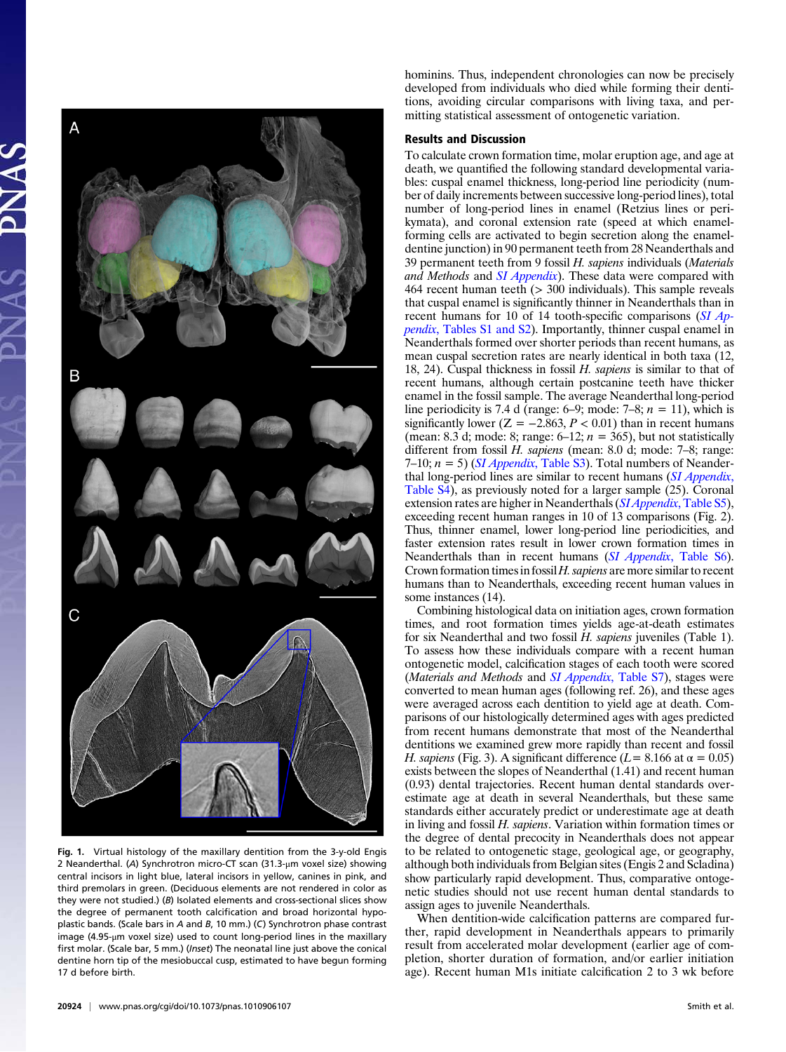

Fig. 1. Virtual histology of the maxillary dentition from the 3-y-old Engis 2 Neanderthal. (A) Synchrotron micro-CT scan (31.3-μm voxel size) showing central incisors in light blue, lateral incisors in yellow, canines in pink, and third premolars in green. (Deciduous elements are not rendered in color as they were not studied.) (B) Isolated elements and cross-sectional slices show the degree of permanent tooth calcification and broad horizontal hypoplastic bands. (Scale bars in A and B, 10 mm.) (C) Synchrotron phase contrast image (4.95-μm voxel size) used to count long-period lines in the maxillary first molar. (Scale bar, 5 mm.) (Inset) The neonatal line just above the conical dentine horn tip of the mesiobuccal cusp, estimated to have begun forming 17 d before birth.

hominins. Thus, independent chronologies can now be precisely developed from individuals who died while forming their dentitions, avoiding circular comparisons with living taxa, and permitting statistical assessment of ontogenetic variation.

## Results and Discussion

To calculate crown formation time, molar eruption age, and age at death, we quantified the following standard developmental variables: cuspal enamel thickness, long-period line periodicity (number of daily increments between successive long-period lines), total number of long-period lines in enamel (Retzius lines or perikymata), and coronal extension rate (speed at which enamelforming cells are activated to begin secretion along the enameldentine junction) in 90 permanent teeth from 28 Neanderthals and 39 permanent teeth from 9 fossil H. sapiens individuals (Materials and Methods and [SI Appendix](http://www.pnas.org/lookup/suppl/doi:10.1073/pnas.1010906107/-/DCSupplemental/sapp.pdf)). These data were compared with 464 recent human teeth (> 300 individuals). This sample reveals that cuspal enamel is significantly thinner in Neanderthals than in recent humans for 10 of 14 tooth-specific comparisons ([SI Ap](http://www.pnas.org/lookup/suppl/doi:10.1073/pnas.1010906107/-/DCSupplemental/sapp.pdf)pendix[, Tables S1 and S2](http://www.pnas.org/lookup/suppl/doi:10.1073/pnas.1010906107/-/DCSupplemental/sapp.pdf)). Importantly, thinner cuspal enamel in Neanderthals formed over shorter periods than recent humans, as mean cuspal secretion rates are nearly identical in both taxa (12, 18, 24). Cuspal thickness in fossil  $H$ . sapiens is similar to that of recent humans, although certain postcanine teeth have thicker enamel in the fossil sample. The average Neanderthal long-period line periodicity is 7.4 d (range: 6–9; mode: 7–8;  $n = 11$ ), which is significantly lower ( $Z = -2.863, P < 0.01$ ) than in recent humans (mean: 8.3 d; mode: 8; range:  $6-12$ ;  $n = 365$ ), but not statistically different from fossil H. sapiens (mean: 8.0 d; mode: 7–8; range: 7–10;  $n = 5$ ) (*[SI Appendix](http://www.pnas.org/lookup/suppl/doi:10.1073/pnas.1010906107/-/DCSupplemental/sapp.pdf)*, Table S3). Total numbers of Neander-thal long-period lines are similar to recent humans ([SI Appendix](http://www.pnas.org/lookup/suppl/doi:10.1073/pnas.1010906107/-/DCSupplemental/sapp.pdf), [Table S4](http://www.pnas.org/lookup/suppl/doi:10.1073/pnas.1010906107/-/DCSupplemental/sapp.pdf)), as previously noted for a larger sample (25). Coronal extension rates are higher in Neanderthals ([SI Appendix](http://www.pnas.org/lookup/suppl/doi:10.1073/pnas.1010906107/-/DCSupplemental/sapp.pdf), Table S5), exceeding recent human ranges in 10 of 13 comparisons (Fig. 2). Thus, thinner enamel, lower long-period line periodicities, and faster extension rates result in lower crown formation times in Neanderthals than in recent humans *([SI Appendix](http://www.pnas.org/lookup/suppl/doi:10.1073/pnas.1010906107/-/DCSupplemental/sapp.pdf), Table S6)*. Crown formation times in fossil  $H$ . *sapiens* are more similar to recent humans than to Neanderthals, exceeding recent human values in some instances (14).

Combining histological data on initiation ages, crown formation times, and root formation times yields age-at-death estimates for six Neanderthal and two fossil H. sapiens juveniles (Table 1). To assess how these individuals compare with a recent human ontogenetic model, calcification stages of each tooth were scored (Materials and Methods and [SI Appendix](http://www.pnas.org/lookup/suppl/doi:10.1073/pnas.1010906107/-/DCSupplemental/sapp.pdf), Table S7), stages were converted to mean human ages (following ref. 26), and these ages were averaged across each dentition to yield age at death. Comparisons of our histologically determined ages with ages predicted from recent humans demonstrate that most of the Neanderthal dentitions we examined grew more rapidly than recent and fossil H. sapiens (Fig. 3). A significant difference ( $L = 8.166$  at  $\alpha = 0.05$ ) exists between the slopes of Neanderthal (1.41) and recent human (0.93) dental trajectories. Recent human dental standards overestimate age at death in several Neanderthals, but these same standards either accurately predict or underestimate age at death in living and fossil  $H$ . sapiens. Variation within formation times or the degree of dental precocity in Neanderthals does not appear to be related to ontogenetic stage, geological age, or geography, although both individuals from Belgian sites (Engis 2 and Scladina) show particularly rapid development. Thus, comparative ontogenetic studies should not use recent human dental standards to assign ages to juvenile Neanderthals.

When dentition-wide calcification patterns are compared further, rapid development in Neanderthals appears to primarily result from accelerated molar development (earlier age of completion, shorter duration of formation, and/or earlier initiation age). Recent human M1s initiate calcification 2 to 3 wk before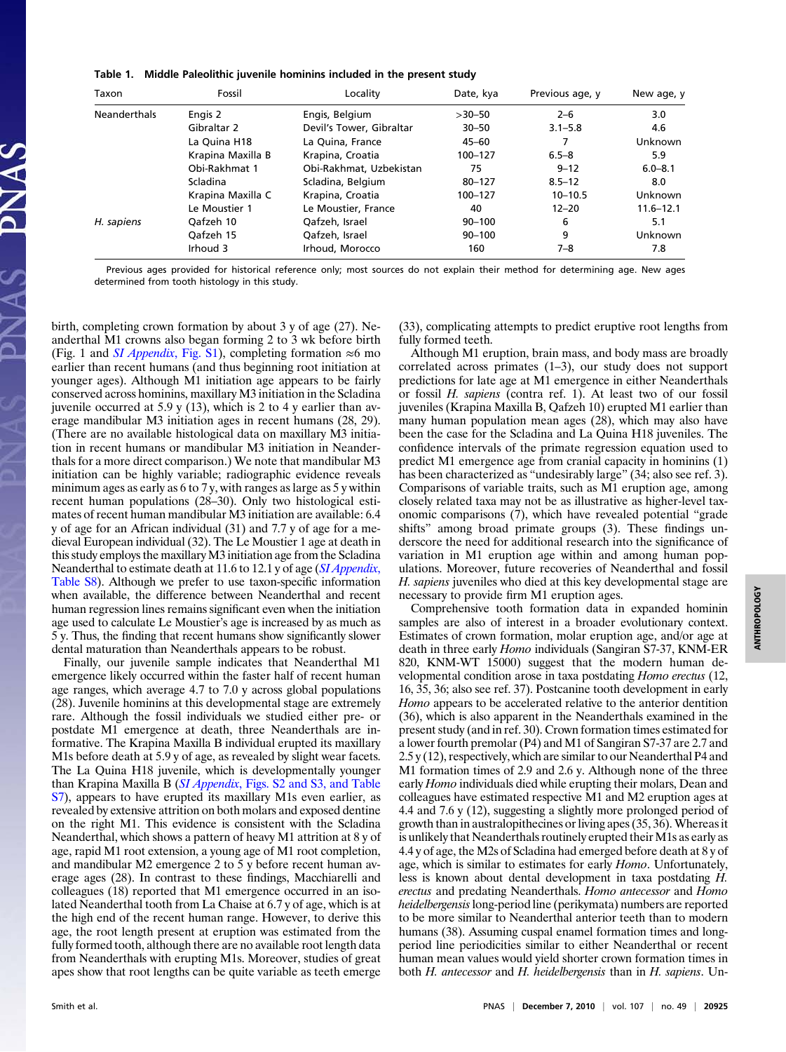Table 1. Middle Paleolithic juvenile hominins included in the present study

| Taxon        | Fossil            | Locality                 | Date, kya  | Previous age, y | New age, y     |
|--------------|-------------------|--------------------------|------------|-----------------|----------------|
| Neanderthals | Engis 2           | Engis, Belgium           | $>30-50$   | $2 - 6$         | 3.0            |
|              | Gibraltar 2       | Devil's Tower, Gibraltar | $30 - 50$  | $3.1 - 5.8$     | 4.6            |
|              | La Quina H18      | La Quina, France         | 45-60      |                 | Unknown        |
|              | Krapina Maxilla B | Krapina, Croatia         | 100-127    | $6.5 - 8$       | 5.9            |
|              | Obi-Rakhmat 1     | Obi-Rakhmat, Uzbekistan  | 75         | $9 - 12$        | $6.0 - 8.1$    |
|              | Scladina          | Scladina, Belgium        | 80-127     | $8.5 - 12$      | 8.0            |
|              | Krapina Maxilla C | Krapina, Croatia         | 100-127    | $10 - 10.5$     | <b>Unknown</b> |
|              | Le Moustier 1     | Le Moustier, France      | 40         | $12 - 20$       | $11.6 - 12.1$  |
| H. sapiens   | Oafzeh 10         | Oafzeh, Israel           | $90 - 100$ | 6               | 5.1            |
|              | Oafzeh 15         | Oafzeh, Israel           | $90 - 100$ | 9               | Unknown        |
|              | Irhoud 3          | Irhoud, Morocco          | 160        | 7–8             | 7.8            |

Previous ages provided for historical reference only; most sources do not explain their method for determining age. New ages determined from tooth histology in this study.

birth, completing crown formation by about 3 y of age (27). Neanderthal M1 crowns also began forming 2 to 3 wk before birth (Fig. 1 and *[SI Appendix](http://www.pnas.org/lookup/suppl/doi:10.1073/pnas.1010906107/-/DCSupplemental/sapp.pdf)*, Fig. S1), completing formation  $\approx$ 6 mo earlier than recent humans (and thus beginning root initiation at younger ages). Although M1 initiation age appears to be fairly conserved across hominins, maxillary M3 initiation in the Scladina juvenile occurred at 5.9 y (13), which is 2 to 4 y earlier than average mandibular M3 initiation ages in recent humans (28, 29). (There are no available histological data on maxillary M3 initiation in recent humans or mandibular M3 initiation in Neanderthals for a more direct comparison.) We note that mandibular M3 initiation can be highly variable; radiographic evidence reveals minimum ages as early as 6 to 7 y, with ranges as large as 5 y within recent human populations (28–30). Only two histological estimates of recent human mandibular M3 initiation are available: 6.4 y of age for an African individual (31) and 7.7 y of age for a medieval European individual (32). The Le Moustier 1 age at death in this study employs the maxillary M3 initiation age from the Scladina Neanderthal to estimate death at 11.6 to 12.1 y of age ([SI Appendix](http://www.pnas.org/lookup/suppl/doi:10.1073/pnas.1010906107/-/DCSupplemental/sapp.pdf), [Table S8](http://www.pnas.org/lookup/suppl/doi:10.1073/pnas.1010906107/-/DCSupplemental/sapp.pdf)). Although we prefer to use taxon-specific information when available, the difference between Neanderthal and recent human regression lines remains significant even when the initiation age used to calculate Le Moustier's age is increased by as much as 5 y. Thus, the finding that recent humans show significantly slower dental maturation than Neanderthals appears to be robust.

Finally, our juvenile sample indicates that Neanderthal M1 emergence likely occurred within the faster half of recent human age ranges, which average 4.7 to 7.0 y across global populations (28). Juvenile hominins at this developmental stage are extremely rare. Although the fossil individuals we studied either pre- or postdate M1 emergence at death, three Neanderthals are informative. The Krapina Maxilla B individual erupted its maxillary M<sub>1s</sub> before death at 5.9 y of age, as revealed by slight wear facets. The La Quina H18 juvenile, which is developmentally younger than Krapina Maxilla B (SI Appendix[, Figs. S2 and S3, and Table](http://www.pnas.org/lookup/suppl/doi:10.1073/pnas.1010906107/-/DCSupplemental/sapp.pdf) [S7\)](http://www.pnas.org/lookup/suppl/doi:10.1073/pnas.1010906107/-/DCSupplemental/sapp.pdf), appears to have erupted its maxillary M1s even earlier, as revealed by extensive attrition on both molars and exposed dentine on the right M1. This evidence is consistent with the Scladina Neanderthal, which shows a pattern of heavy M1 attrition at 8 y of age, rapid M1 root extension, a young age of M1 root completion, and mandibular M2 emergence 2 to 5 y before recent human average ages (28). In contrast to these findings, Macchiarelli and colleagues (18) reported that M1 emergence occurred in an isolated Neanderthal tooth from La Chaise at 6.7 y of age, which is at the high end of the recent human range. However, to derive this age, the root length present at eruption was estimated from the fully formed tooth, although there are no available root length data from Neanderthals with erupting M1s. Moreover, studies of great apes show that root lengths can be quite variable as teeth emerge

(33), complicating attempts to predict eruptive root lengths from fully formed teeth.

Although M1 eruption, brain mass, and body mass are broadly correlated across primates (1–3), our study does not support predictions for late age at M1 emergence in either Neanderthals or fossil H. sapiens (contra ref. 1). At least two of our fossil juveniles (Krapina Maxilla B, Qafzeh 10) erupted M1 earlier than many human population mean ages (28), which may also have been the case for the Scladina and La Quina H18 juveniles. The confidence intervals of the primate regression equation used to predict M1 emergence age from cranial capacity in hominins (1) has been characterized as "undesirably large" (34; also see ref. 3). Comparisons of variable traits, such as M1 eruption age, among closely related taxa may not be as illustrative as higher-level taxonomic comparisons (7), which have revealed potential "grade shifts" among broad primate groups (3). These findings underscore the need for additional research into the significance of variation in M1 eruption age within and among human populations. Moreover, future recoveries of Neanderthal and fossil H. sapiens juveniles who died at this key developmental stage are necessary to provide firm M1 eruption ages.

Comprehensive tooth formation data in expanded hominin samples are also of interest in a broader evolutionary context. Estimates of crown formation, molar eruption age, and/or age at death in three early Homo individuals (Sangiran S7-37, KNM-ER 820, KNM-WT 15000) suggest that the modern human developmental condition arose in taxa postdating Homo erectus (12, 16, 35, 36; also see ref. 37). Postcanine tooth development in early Homo appears to be accelerated relative to the anterior dentition (36), which is also apparent in the Neanderthals examined in the present study (and in ref. 30). Crown formation times estimated for a lower fourth premolar (P4) and M1 of Sangiran S7-37 are 2.7 and 2.5 y (12), respectively, which are similar to our Neanderthal P4 and M1 formation times of 2.9 and 2.6 y. Although none of the three early Homo individuals died while erupting their molars, Dean and colleagues have estimated respective M1 and M2 eruption ages at 4.4 and 7.6 y (12), suggesting a slightly more prolonged period of growth than in australopithecines or living apes (35, 36). Whereas it is unlikely that Neanderthals routinely erupted their M1s as early as 4.4 y of age, the M2s of Scladina had emerged before death at 8 y of age, which is similar to estimates for early Homo. Unfortunately, less is known about dental development in taxa postdating H. erectus and predating Neanderthals. Homo antecessor and Homo heidelbergensislong-period line (perikymata) numbers are reported to be more similar to Neanderthal anterior teeth than to modern humans (38). Assuming cuspal enamel formation times and longperiod line periodicities similar to either Neanderthal or recent human mean values would yield shorter crown formation times in both H. antecessor and H. heidelbergensis than in H. sapiens. Un-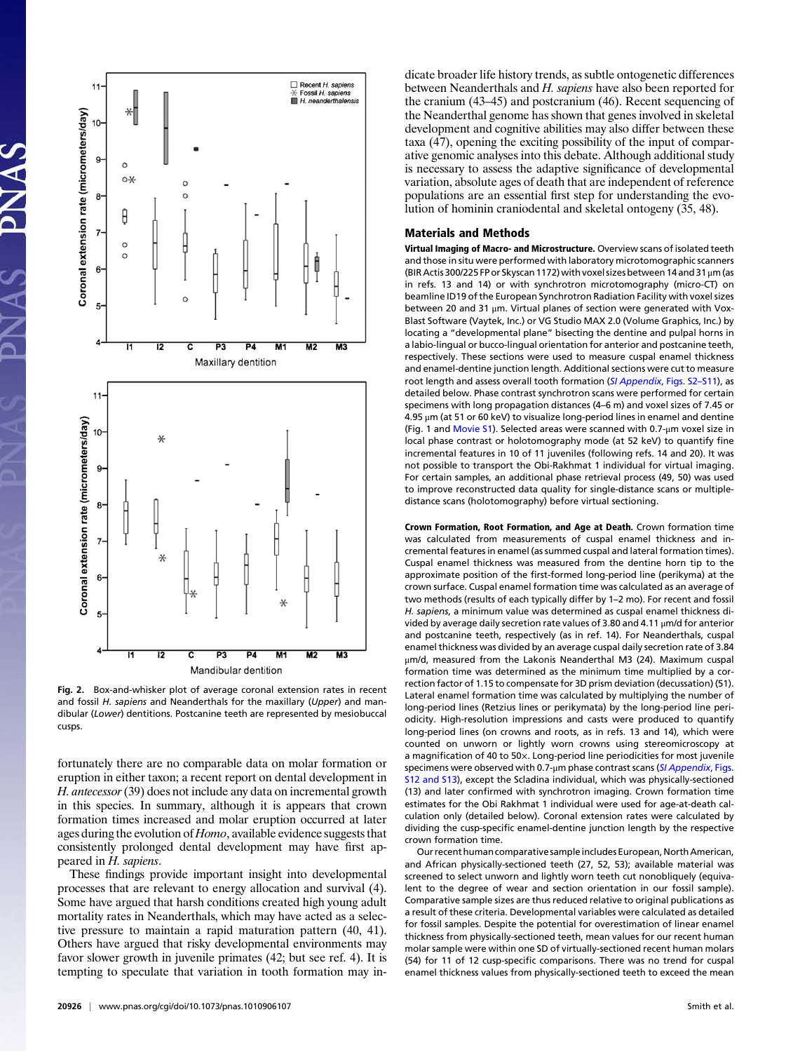

Fig. 2. Box-and-whisker plot of average coronal extension rates in recent and fossil H. sapiens and Neanderthals for the maxillary (Upper) and mandibular (Lower) dentitions. Postcanine teeth are represented by mesiobuccal cusps.

fortunately there are no comparable data on molar formation or eruption in either taxon; a recent report on dental development in H. antecessor (39) does not include any data on incremental growth in this species. In summary, although it is appears that crown formation times increased and molar eruption occurred at later ages during the evolution of *Homo*, available evidence suggests that consistently prolonged dental development may have first appeared in H. sapiens.

These findings provide important insight into developmental processes that are relevant to energy allocation and survival (4). Some have argued that harsh conditions created high young adult mortality rates in Neanderthals, which may have acted as a selective pressure to maintain a rapid maturation pattern (40, 41). Others have argued that risky developmental environments may favor slower growth in juvenile primates (42; but see ref. 4). It is tempting to speculate that variation in tooth formation may in-

20926 <sup>|</sup> <www.pnas.org/cgi/doi/10.1073/pnas.1010906107> Smith et al.

dicate broader life history trends, as subtle ontogenetic differences between Neanderthals and H. sapiens have also been reported for the cranium (43–45) and postcranium (46). Recent sequencing of the Neanderthal genome has shown that genes involved in skeletal development and cognitive abilities may also differ between these taxa (47), opening the exciting possibility of the input of comparative genomic analyses into this debate. Although additional study is necessary to assess the adaptive significance of developmental variation, absolute ages of death that are independent of reference populations are an essential first step for understanding the evolution of hominin craniodental and skeletal ontogeny (35, 48).

## Materials and Methods

Virtual Imaging of Macro- and Microstructure. Overview scans of isolated teeth and those in situ were performed with laboratory microtomographic scanners (BIR Actis 300/225 FP or Skyscan 1172) with voxel sizes between 14 and 31μm (as in refs. 13 and 14) or with synchrotron microtomography (micro-CT) on beamline ID19 of the European Synchrotron Radiation Facility with voxel sizes between 20 and 31 μm. Virtual planes of section were generated with Vox-Blast Software (Vaytek, Inc.) or VG Studio MAX 2.0 (Volume Graphics, Inc.) by locating a "developmental plane" bisecting the dentine and pulpal horns in a labio-lingual or bucco-lingual orientation for anterior and postcanine teeth, respectively. These sections were used to measure cuspal enamel thickness and enamel-dentine junction length. Additional sections were cut to measure root length and assess overall tooth formation ([SI Appendix](http://www.pnas.org/lookup/suppl/doi:10.1073/pnas.1010906107/-/DCSupplemental/sapp.pdf), Figs. S2-S11), as detailed below. Phase contrast synchrotron scans were performed for certain specimens with long propagation distances (4–6 m) and voxel sizes of 7.45 or 4.95 μm (at 51 or 60 keV) to visualize long-period lines in enamel and dentine (Fig. 1 and [Movie S1\)](http://www.pnas.org/lookup/suppl/doi:10.1073/pnas.1010906107/-/DCSupplemental/sm01.mov). Selected areas were scanned with 0.7-μm voxel size in local phase contrast or holotomography mode (at 52 keV) to quantify fine incremental features in 10 of 11 juveniles (following refs. 14 and 20). It was not possible to transport the Obi-Rakhmat 1 individual for virtual imaging. For certain samples, an additional phase retrieval process (49, 50) was used to improve reconstructed data quality for single-distance scans or multipledistance scans (holotomography) before virtual sectioning.

Crown Formation, Root Formation, and Age at Death. Crown formation time was calculated from measurements of cuspal enamel thickness and incremental features in enamel (as summed cuspal and lateral formation times). Cuspal enamel thickness was measured from the dentine horn tip to the approximate position of the first-formed long-period line (perikyma) at the crown surface. Cuspal enamel formation time was calculated as an average of two methods (results of each typically differ by 1–2 mo). For recent and fossil H. sapiens, a minimum value was determined as cuspal enamel thickness divided by average daily secretion rate values of 3.80 and 4.11 μm/d for anterior and postcanine teeth, respectively (as in ref. 14). For Neanderthals, cuspal enamel thickness was divided by an average cuspal daily secretion rate of 3.84 μm/d, measured from the Lakonis Neanderthal M3 (24). Maximum cuspal formation time was determined as the minimum time multiplied by a correction factor of 1.15 to compensate for 3D prism deviation (decussation) (51). Lateral enamel formation time was calculated by multiplying the number of long-period lines (Retzius lines or perikymata) by the long-period line periodicity. High-resolution impressions and casts were produced to quantify long-period lines (on crowns and roots, as in refs. 13 and 14), which were counted on unworn or lightly worn crowns using stereomicroscopy at a magnification of 40 to 50×. Long-period line periodicities for most juvenile specimens were observed with 0.7-μm phase contrast scans ([SI Appendix](http://www.pnas.org/lookup/suppl/doi:10.1073/pnas.1010906107/-/DCSupplemental/sapp.pdf), Figs. [S12 and S13](http://www.pnas.org/lookup/suppl/doi:10.1073/pnas.1010906107/-/DCSupplemental/sapp.pdf)), except the Scladina individual, which was physically-sectioned (13) and later confirmed with synchrotron imaging. Crown formation time estimates for the Obi Rakhmat 1 individual were used for age-at-death calculation only (detailed below). Coronal extension rates were calculated by dividing the cusp-specific enamel-dentine junction length by the respective crown formation time.

Our recent human comparative sample includes European, North American, and African physically-sectioned teeth (27, 52, 53); available material was screened to select unworn and lightly worn teeth cut nonobliquely (equivalent to the degree of wear and section orientation in our fossil sample). Comparative sample sizes are thus reduced relative to original publications as a result of these criteria. Developmental variables were calculated as detailed for fossil samples. Despite the potential for overestimation of linear enamel thickness from physically-sectioned teeth, mean values for our recent human molar sample were within one SD of virtually-sectioned recent human molars (54) for 11 of 12 cusp-specific comparisons. There was no trend for cuspal enamel thickness values from physically-sectioned teeth to exceed the mean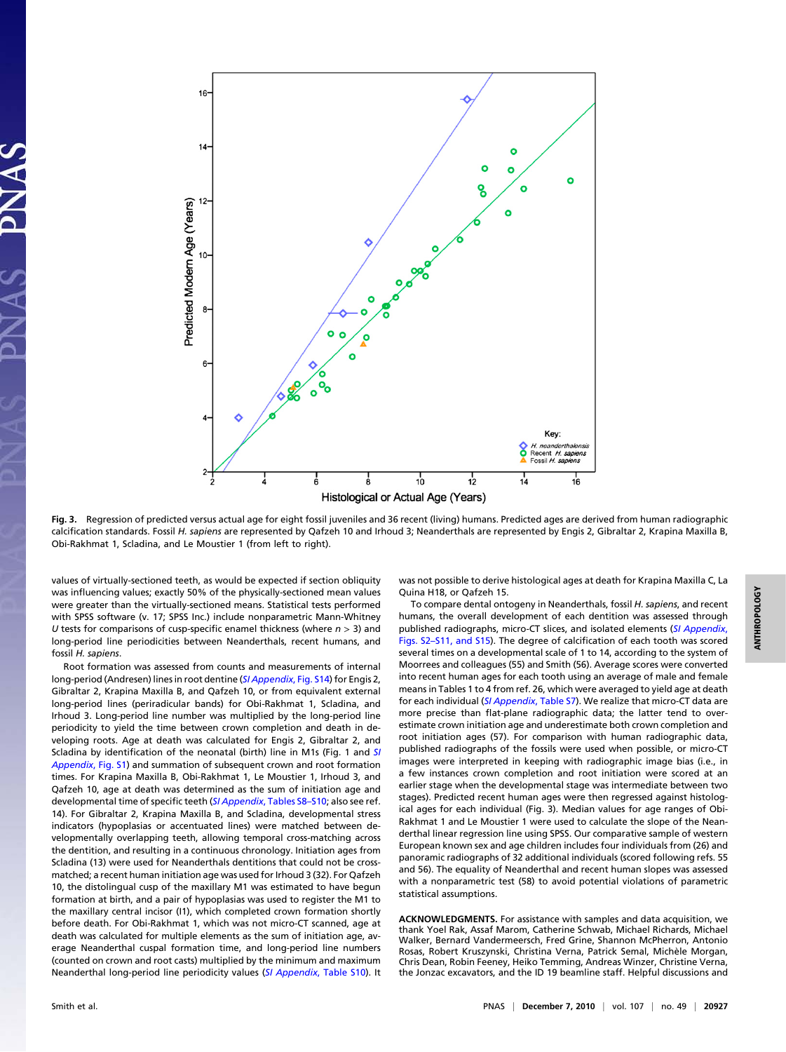

Fig. 3. Regression of predicted versus actual age for eight fossil juveniles and 36 recent (living) humans. Predicted ages are derived from human radiographic calcification standards. Fossil H. sapiens are represented by Qafzeh 10 and Irhoud 3; Neanderthals are represented by Engis 2, Gibraltar 2, Krapina Maxilla B, Obi-Rakhmat 1, Scladina, and Le Moustier 1 (from left to right).

values of virtually-sectioned teeth, as would be expected if section obliquity was influencing values; exactly 50% of the physically-sectioned mean values were greater than the virtually-sectioned means. Statistical tests performed with SPSS software (v. 17; SPSS Inc.) include nonparametric Mann-Whitney U tests for comparisons of cusp-specific enamel thickness (where  $n > 3$ ) and long-period line periodicities between Neanderthals, recent humans, and fossil H. sapiens.

Root formation was assessed from counts and measurements of internal long-period (Andresen) lines in root dentine ([SI Appendix](http://www.pnas.org/lookup/suppl/doi:10.1073/pnas.1010906107/-/DCSupplemental/sapp.pdf), Fig. S14) for Engis 2, Gibraltar 2, Krapina Maxilla B, and Qafzeh 10, or from equivalent external long-period lines (periradicular bands) for Obi-Rakhmat 1, Scladina, and Irhoud 3. Long-period line number was multiplied by the long-period line periodicity to yield the time between crown completion and death in developing roots. Age at death was calculated for Engis 2, Gibraltar 2, and Scladina by identification of the neonatal (birth) line in M1s (Fig. 1 and [SI](http://www.pnas.org/lookup/suppl/doi:10.1073/pnas.1010906107/-/DCSupplemental/sapp.pdf) [Appendix](http://www.pnas.org/lookup/suppl/doi:10.1073/pnas.1010906107/-/DCSupplemental/sapp.pdf), Fig. S1) and summation of subsequent crown and root formation times. For Krapina Maxilla B, Obi-Rakhmat 1, Le Moustier 1, Irhoud 3, and Qafzeh 10, age at death was determined as the sum of initiation age and developmental time of specific teeth ([SI Appendix](http://www.pnas.org/lookup/suppl/doi:10.1073/pnas.1010906107/-/DCSupplemental/sapp.pdf), Tables S8-S10; also see ref. 14). For Gibraltar 2, Krapina Maxilla B, and Scladina, developmental stress indicators (hypoplasias or accentuated lines) were matched between developmentally overlapping teeth, allowing temporal cross-matching across the dentition, and resulting in a continuous chronology. Initiation ages from Scladina (13) were used for Neanderthals dentitions that could not be crossmatched; a recent human initiation age was used for Irhoud 3 (32). For Qafzeh 10, the distolingual cusp of the maxillary M1 was estimated to have begun formation at birth, and a pair of hypoplasias was used to register the M1 to the maxillary central incisor (I1), which completed crown formation shortly before death. For Obi-Rakhmat 1, which was not micro-CT scanned, age at death was calculated for multiple elements as the sum of initiation age, average Neanderthal cuspal formation time, and long-period line numbers (counted on crown and root casts) multiplied by the minimum and maximum Neanderthal long-period line periodicity values ([SI Appendix](http://www.pnas.org/lookup/suppl/doi:10.1073/pnas.1010906107/-/DCSupplemental/sapp.pdf), Table S10). It was not possible to derive histological ages at death for Krapina Maxilla C, La Quina H18, or Qafzeh 15.

To compare dental ontogeny in Neanderthals, fossil H. sapiens, and recent humans, the overall development of each dentition was assessed through published radiographs, micro-CT slices, and isolated elements ([SI Appendix](http://www.pnas.org/lookup/suppl/doi:10.1073/pnas.1010906107/-/DCSupplemental/sapp.pdf), Figs. S2–[S11, and S15](http://www.pnas.org/lookup/suppl/doi:10.1073/pnas.1010906107/-/DCSupplemental/sapp.pdf)). The degree of calcification of each tooth was scored several times on a developmental scale of 1 to 14, according to the system of Moorrees and colleagues (55) and Smith (56). Average scores were converted into recent human ages for each tooth using an average of male and female means in Tables 1 to 4 from ref. 26, which were averaged to yield age at death for each individual ([SI Appendix](http://www.pnas.org/lookup/suppl/doi:10.1073/pnas.1010906107/-/DCSupplemental/sapp.pdf), Table S7). We realize that micro-CT data are more precise than flat-plane radiographic data; the latter tend to overestimate crown initiation age and underestimate both crown completion and root initiation ages (57). For comparison with human radiographic data, published radiographs of the fossils were used when possible, or micro-CT images were interpreted in keeping with radiographic image bias (i.e., in a few instances crown completion and root initiation were scored at an earlier stage when the developmental stage was intermediate between two stages). Predicted recent human ages were then regressed against histological ages for each individual (Fig. 3). Median values for age ranges of Obi-Rakhmat 1 and Le Moustier 1 were used to calculate the slope of the Neanderthal linear regression line using SPSS. Our comparative sample of western European known sex and age children includes four individuals from (26) and panoramic radiographs of 32 additional individuals (scored following refs. 55 and 56). The equality of Neanderthal and recent human slopes was assessed with a nonparametric test (58) to avoid potential violations of parametric statistical assumptions.

ACKNOWLEDGMENTS. For assistance with samples and data acquisition, we thank Yoel Rak, Assaf Marom, Catherine Schwab, Michael Richards, Michael Walker, Bernard Vandermeersch, Fred Grine, Shannon McPherron, Antonio Rosas, Robert Kruszynski, Christina Verna, Patrick Semal, Michèle Morgan, Chris Dean, Robin Feeney, Heiko Temming, Andreas Winzer, Christine Verna, the Jonzac excavators, and the ID 19 beamline staff. Helpful discussions and